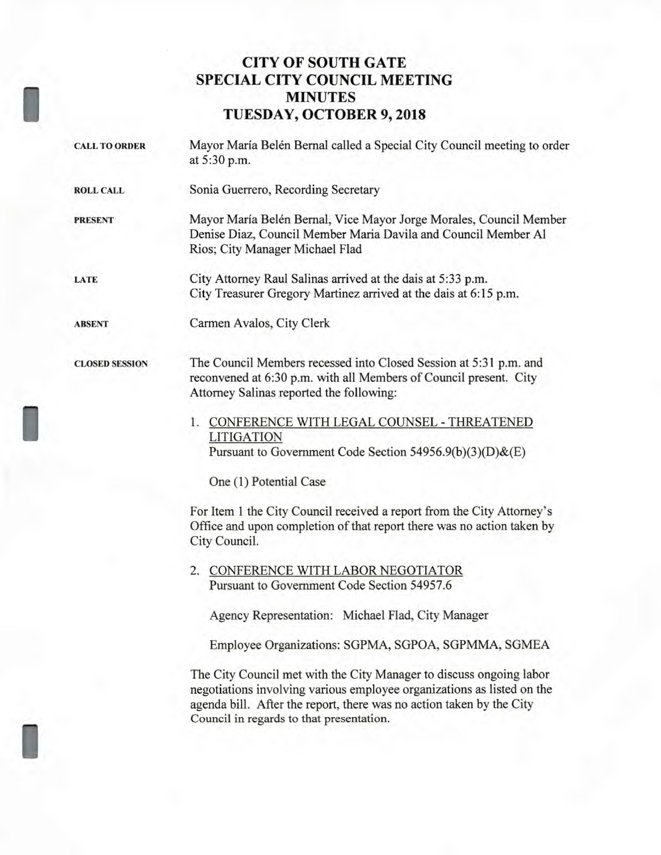## **CITY OF SOUTH GATE SPECIAL CITY COUNCIL MEETING MINUTES TUESDAY, OCTOBER 9, 2018**

I

I

I

| <b>CALL TO ORDER</b>  | Mayor María Belén Bernal called a Special City Council meeting to order<br>at 5:30 p.m.                                                                                                                                                                           |
|-----------------------|-------------------------------------------------------------------------------------------------------------------------------------------------------------------------------------------------------------------------------------------------------------------|
| <b>ROLL CALL</b>      | Sonia Guerrero, Recording Secretary                                                                                                                                                                                                                               |
| <b>PRESENT</b>        | Mayor María Belén Bernal, Vice Mayor Jorge Morales, Council Member<br>Denise Diaz, Council Member Maria Davila and Council Member Al<br>Rios; City Manager Michael Flad                                                                                           |
| LATE                  | City Attorney Raul Salinas arrived at the dais at 5:33 p.m.<br>City Treasurer Gregory Martinez arrived at the dais at 6:15 p.m.                                                                                                                                   |
| <b>ABSENT</b>         | Carmen Avalos, City Clerk                                                                                                                                                                                                                                         |
| <b>CLOSED SESSION</b> | The Council Members recessed into Closed Session at 5:31 p.m. and<br>reconvened at 6:30 p.m. with all Members of Council present. City<br>Attorney Salinas reported the following:                                                                                |
|                       | 1. CONFERENCE WITH LEGAL COUNSEL - THREATENED<br><b>LITIGATION</b><br>Pursuant to Government Code Section 54956.9(b)(3)(D)&(E)                                                                                                                                    |
|                       | One (1) Potential Case                                                                                                                                                                                                                                            |
|                       | For Item 1 the City Council received a report from the City Attorney's<br>Office and upon completion of that report there was no action taken by<br>City Council.                                                                                                 |
|                       | 2. CONFERENCE WITH LABOR NEGOTIATOR<br>Pursuant to Government Code Section 54957.6                                                                                                                                                                                |
|                       | Agency Representation: Michael Flad, City Manager                                                                                                                                                                                                                 |
|                       | Employee Organizations: SGPMA, SGPOA, SGPMMA, SGMEA                                                                                                                                                                                                               |
|                       | The City Council met with the City Manager to discuss ongoing labor<br>negotiations involving various employee organizations as listed on the<br>agenda bill. After the report, there was no action taken by the City<br>Council in regards to that presentation. |
|                       |                                                                                                                                                                                                                                                                   |